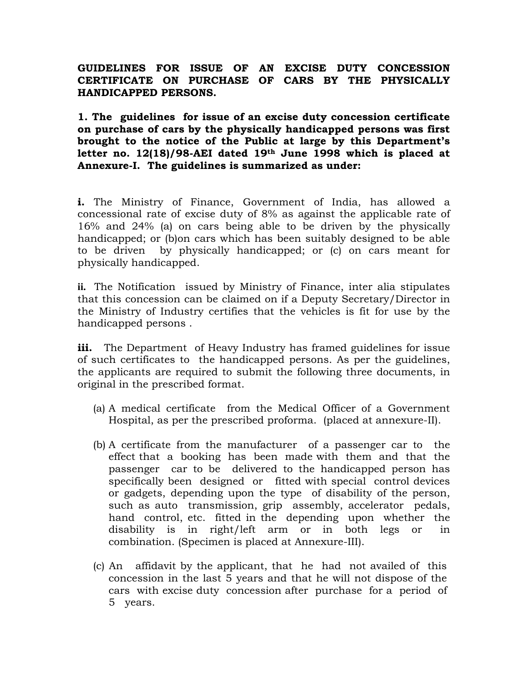# GUIDELINES FOR ISSUE OF AN EXCISE DUTY CONCESSION CERTIFICATE ON PURCHASE OF CARS BY THE PHYSICALLY HANDICAPPED PERSONS.

1. The guidelines for issue of an excise duty concession certificate on purchase of cars by the physically handicapped persons was first brought to the notice of the Public at large by this Department's letter no. 12(18)/98-AEI dated 19th June 1998 which is placed at Annexure-I. The guidelines is summarized as under:

i. The Ministry of Finance, Government of India, has allowed a concessional rate of excise duty of 8% as against the applicable rate of 16% and 24% (a) on cars being able to be driven by the physically handicapped; or (b)on cars which has been suitably designed to be able to be driven by physically handicapped; or (c) on cars meant for physically handicapped.

ii. The Notification issued by Ministry of Finance, inter alia stipulates that this concession can be claimed on if a Deputy Secretary/Director in the Ministry of Industry certifies that the vehicles is fit for use by the handicapped persons .

iii. The Department of Heavy Industry has framed guidelines for issue of such certificates to the handicapped persons. As per the guidelines, the applicants are required to submit the following three documents, in original in the prescribed format.

- (a) A medical certificate from the Medical Officer of a Government Hospital, as per the prescribed proforma. (placed at annexure-II).
- (b) A certificate from the manufacturer of a passenger car to the effect that a booking has been made with them and that the passenger car to be delivered to the handicapped person has specifically been designed or fitted with special control devices or gadgets, depending upon the type of disability of the person, such as auto transmission, grip assembly, accelerator pedals, hand control, etc. fitted in the depending upon whether the disability is in right/left arm or in both legs or in combination. (Specimen is placed at Annexure-III).
- (c) An affidavit by the applicant, that he had not availed of this concession in the last 5 years and that he will not dispose of the cars with excise duty concession after purchase for a period of 5 years.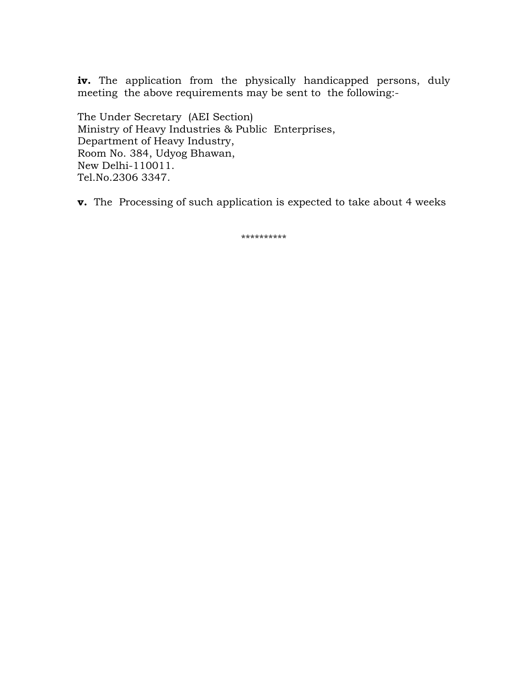iv. The application from the physically handicapped persons, duly meeting the above requirements may be sent to the following:-

The Under Secretary (AEI Section) Ministry of Heavy Industries & Public Enterprises, Department of Heavy Industry, Room No. 384, Udyog Bhawan, New Delhi-110011. Tel.No.2306 3347.

v. The Processing of such application is expected to take about 4 weeks

\*\*\*\*\*\*\*\*\*\*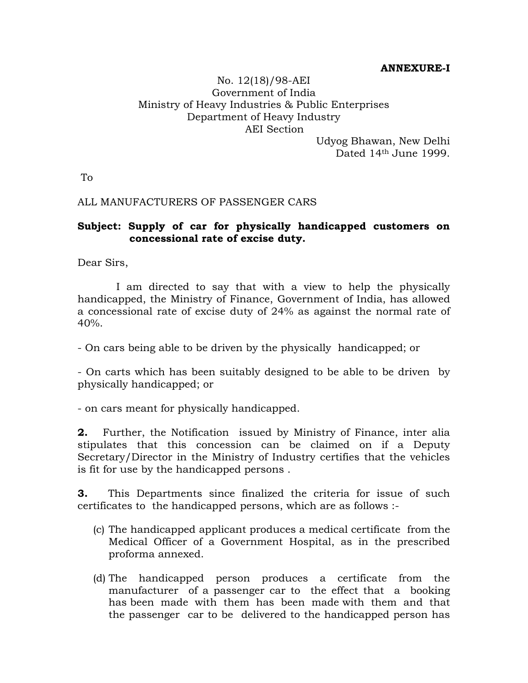## ANNEXURE-I

# No. 12(18)/98-AEI Government of India Ministry of Heavy Industries & Public Enterprises Department of Heavy Industry AEI Section

Udyog Bhawan, New Delhi Dated 14<sup>th</sup> June 1999.

To

## ALL MANUFACTURERS OF PASSENGER CARS

## Subject: Supply of car for physically handicapped customers on concessional rate of excise duty.

Dear Sirs,

 I am directed to say that with a view to help the physically handicapped, the Ministry of Finance, Government of India, has allowed a concessional rate of excise duty of 24% as against the normal rate of  $40%$ .

- On cars being able to be driven by the physically handicapped; or

- On carts which has been suitably designed to be able to be driven by physically handicapped; or

- on cars meant for physically handicapped.

2. Further, the Notification issued by Ministry of Finance, inter alia stipulates that this concession can be claimed on if a Deputy Secretary/Director in the Ministry of Industry certifies that the vehicles is fit for use by the handicapped persons .

3. This Departments since finalized the criteria for issue of such certificates to the handicapped persons, which are as follows :-

- (c) The handicapped applicant produces a medical certificate from the Medical Officer of a Government Hospital, as in the prescribed proforma annexed.
- (d) The handicapped person produces a certificate from the manufacturer of a passenger car to the effect that a booking has been made with them has been made with them and that the passenger car to be delivered to the handicapped person has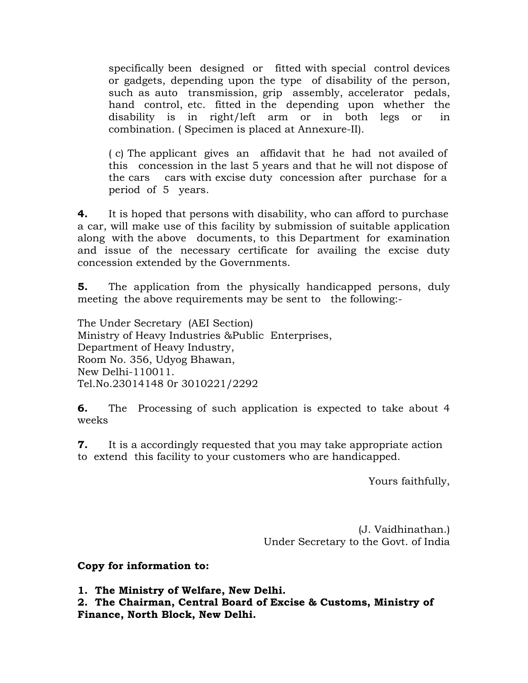specifically been designed or fitted with special control devices or gadgets, depending upon the type of disability of the person, such as auto transmission, grip assembly, accelerator pedals, hand control, etc. fitted in the depending upon whether the disability is in right/left arm or in both legs or in combination. ( Specimen is placed at Annexure-II).

( c) The applicant gives an affidavit that he had not availed of this concession in the last 5 years and that he will not dispose of the cars cars with excise duty concession after purchase for a period of 5 years.

**4.** It is hoped that persons with disability, who can afford to purchase a car, will make use of this facility by submission of suitable application along with the above documents, to this Department for examination and issue of the necessary certificate for availing the excise duty concession extended by the Governments.

**5.** The application from the physically handicapped persons, duly meeting the above requirements may be sent to the following:-

The Under Secretary (AEI Section) Ministry of Heavy Industries &Public Enterprises, Department of Heavy Industry, Room No. 356, Udyog Bhawan, New Delhi-110011. Tel.No.23014148 0r 3010221/2292

**6.** The Processing of such application is expected to take about 4 weeks

**7.** It is a accordingly requested that you may take appropriate action to extend this facility to your customers who are handicapped.

Yours faithfully,

(J. Vaidhinathan.) Under Secretary to the Govt. of India

Copy for information to:

1. The Ministry of Welfare, New Delhi.

2. The Chairman, Central Board of Excise & Customs, Ministry of Finance, North Block, New Delhi.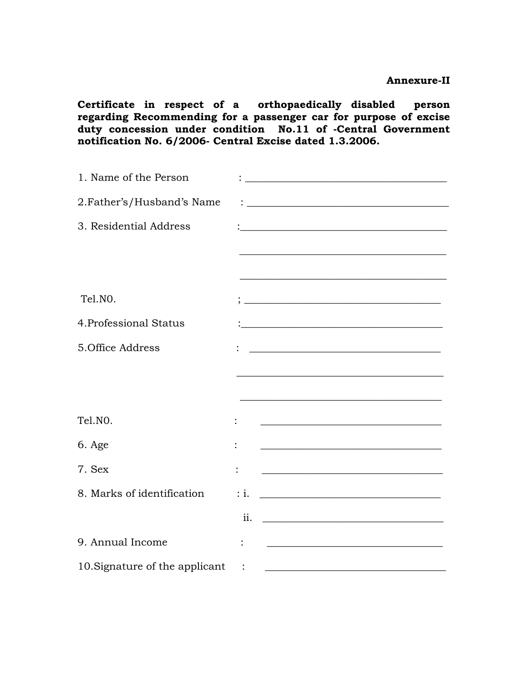Certificate in respect of a orthopaedically disabled person regarding Recommending for a passenger car for purpose of excise duty concession under condition No.11 of -Central Government notification No. 6/2006- Central Excise dated 1.3.2006.

| 1. Name of the Person          |                 | <u> 1980 - Johann Barbara, martxa amerikan bashkar (</u>                                                              |
|--------------------------------|-----------------|-----------------------------------------------------------------------------------------------------------------------|
| 2. Father's/Husband's Name     |                 | <u> 1989 - Johann Barn, fransk politik formuler (d. 1989)</u>                                                         |
| 3. Residential Address         |                 |                                                                                                                       |
|                                |                 | <u> 1980 - Johann John Stone, mars eta biztanleria (h. 1980).</u>                                                     |
|                                |                 | <u> 1989 - Johann John Stone, Amerikaansk politiker (* 1989)</u>                                                      |
| Tel.NO.                        |                 |                                                                                                                       |
| 4. Professional Status         |                 | <u> 1989 - Johann John Stone, market fan it ferskearre fan it ferskearre fan it ferskearre fan it ferskearre fan</u>  |
| 5. Office Address              |                 | <u> 1989 - Johann Barn, mars and de Brasilian (b. 1989)</u>                                                           |
|                                |                 |                                                                                                                       |
|                                |                 | <u> 1989 - Johann John Stein, marwolaethau (b. 1989)</u>                                                              |
| Tel.NO.                        |                 | <u> 1989 - Johann Barn, fransk politik formuler (d. 1989)</u>                                                         |
| 6. Age                         |                 | <u> 1989 - Johann Barn, mars ann an t-Amhain Aonaich an t-Aonaich an t-Aonaich ann an t-Aonaich ann an t-Aonaich</u>  |
| 7. Sex                         |                 |                                                                                                                       |
| 8. Marks of identification     | $\therefore$ i. | <u> 1989 - Johann Harry Harry Harry Harry Harry Harry Harry Harry Harry Harry Harry Harry Harry Harry Harry Harry</u> |
|                                | ii.             | <u> 1989 - Johann Barn, fransk politik fotograf (d. 1989)</u>                                                         |
| 9. Annual Income               |                 |                                                                                                                       |
| 10. Signature of the applicant | $\ddot{\cdot}$  | <u> 1989 - Johann Barbara, martin amerikan basal dan berasal dalam basal dalam basal dalam basal dalam basal dala</u> |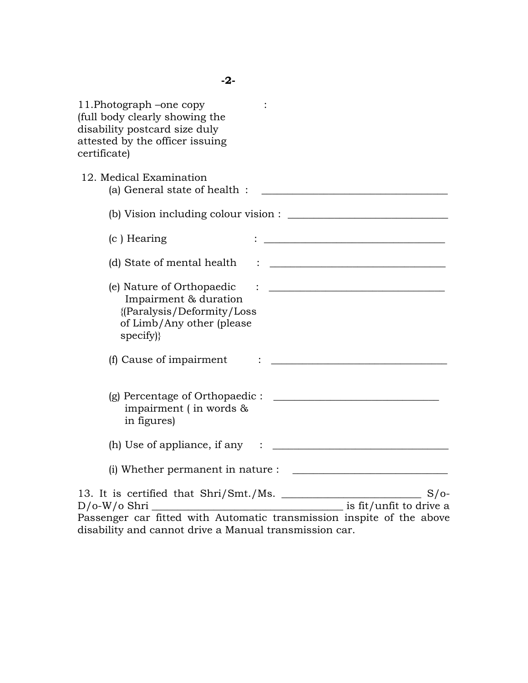11.Photograph –one copy : (full body clearly showing the disability postcard size duly attested by the officer issuing certificate) 12. Medical Examination (a) General state of health :  $\blacksquare$ (b) Vision including colour vision :  $(c)$  Hearing  $\qquad \qquad :$ (d) State of mental health : \_\_\_\_\_\_\_\_\_\_\_\_\_\_\_\_\_\_\_\_\_\_\_\_\_\_\_\_\_\_\_\_\_\_ (e) Nature of Orthopaedic : \_\_\_\_\_\_\_\_\_\_\_\_\_\_\_\_\_\_\_\_\_\_\_\_\_\_\_\_\_\_\_\_\_\_ Impairment & duration {(Paralysis/Deformity/Loss of Limb/Any other (please specify)} (f) Cause of impairment  $\vdots$   $\vdots$ (g) Percentage of Orthopaedic : \_\_\_\_\_\_\_\_\_\_\_\_\_\_\_\_\_\_\_\_\_\_\_\_\_\_\_\_\_\_\_\_ impairment ( in words & in figures) (h) Use of appliance, if any  $\therefore$ (i) Whether permanent in nature :  $\frac{1}{\sqrt{1-\frac{1}{2}}}\left| \frac{f(x,y)}{f(x,y)} \right|$ 13. It is certified that Shri/Smt./Ms. \_\_\_\_\_\_\_\_\_\_\_\_\_\_\_\_\_\_\_\_\_\_\_\_\_\_\_ S/o- $D/O-W/O Shri$   $\overline{\phantom{a}}$ Passenger car fitted with Automatic transmission inspite of the above

disability and cannot drive a Manual transmission car.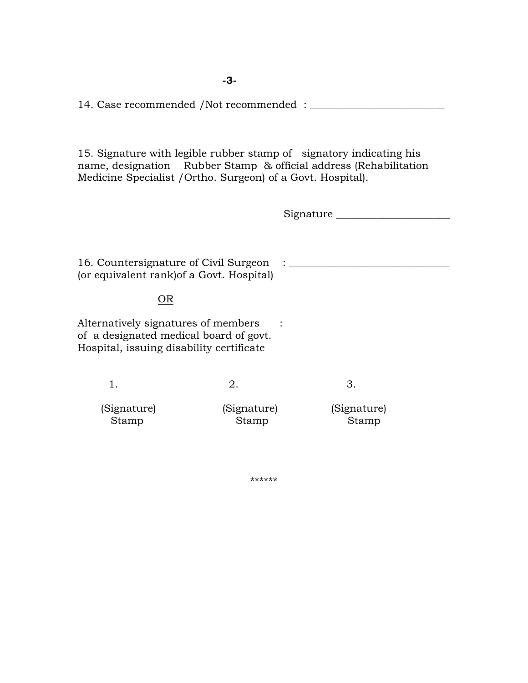-3-

14. Case recommended /Not recommended : \_\_\_\_\_\_\_\_\_\_\_\_\_\_\_\_\_\_\_\_\_\_\_\_\_\_

15. Signature with legible rubber stamp of signatory indicating his name, designation Rubber Stamp & official address (Rehabilitation Medicine Specialist /Ortho. Surgeon) of a Govt. Hospital).

Signature \_\_\_\_\_\_\_\_\_\_\_\_\_\_\_\_\_\_\_\_\_\_

16. Countersignature of Civil Surgeon : \_\_\_\_\_\_\_\_\_\_\_\_\_\_\_\_\_\_\_\_\_\_\_\_\_\_\_\_\_\_\_ (or equivalent rank)of a Govt. Hospital)

## OR

Alternatively signatures of members : of a designated medical board of govt. Hospital, issuing disability certificate

1. 2. 3. (Signature) (Signature) (Signature) Stamp Stamp Stamp Stamp

\*\*\*\*\*\*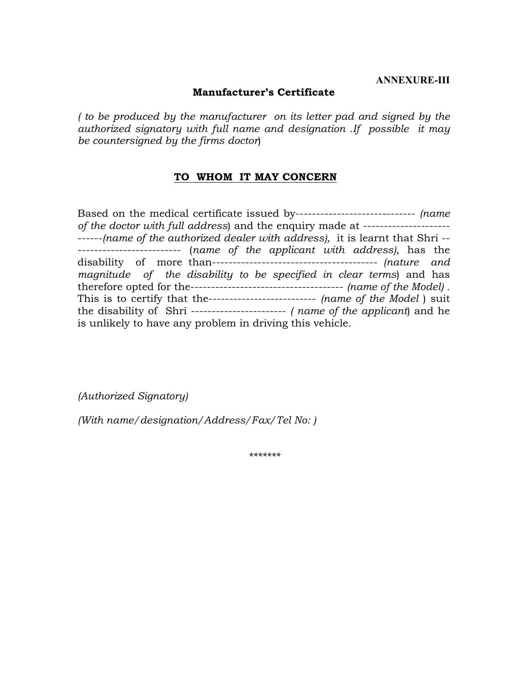#### ANNEXURE-III

## Manufacturer's Certificate

( to be produced by the manufacturer on its letter pad and signed by the authorized signatory with full name and designation .If possible it may be countersigned by the firms doctor)

## TO WHOM IT MAY CONCERN

Based on the medical certificate issued by----------------------------- (name of the doctor with full address) and the enquiry made at --------------------- ------(name of the authorized dealer with address), it is learnt that Shri --------------------------- (name of the applicant with address), has the disability of more than---------------------------------------- (nature and magnitude of the disability to be specified in clear terms) and has therefore opted for the------------------------------------- (name of the Model) . This is to certify that the---------------------------- (name of the Model) suit the disability of Shri -----------------------  $\mu$  name of the applicant) and he is unlikely to have any problem in driving this vehicle.

(Authorized Signatory)

(With name/designation/Address/Fax/Tel No: )

\*\*\*\*\*\*\*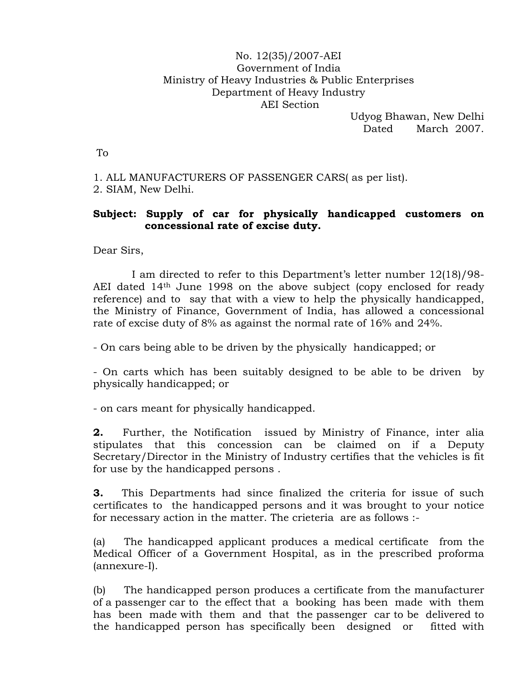## No. 12(35)/2007-AEI Government of India Ministry of Heavy Industries & Public Enterprises Department of Heavy Industry AEI Section

Udyog Bhawan, New Delhi Dated March 2007.

To

1. ALL MANUFACTURERS OF PASSENGER CARS( as per list). 2. SIAM, New Delhi.

# Subject: Supply of car for physically handicapped customers on concessional rate of excise duty.

Dear Sirs,

 I am directed to refer to this Department's letter number 12(18)/98- AEI dated 14th June 1998 on the above subject (copy enclosed for ready reference) and to say that with a view to help the physically handicapped, the Ministry of Finance, Government of India, has allowed a concessional rate of excise duty of 8% as against the normal rate of 16% and 24%.

- On cars being able to be driven by the physically handicapped; or

- On carts which has been suitably designed to be able to be driven by physically handicapped; or

- on cars meant for physically handicapped.

2. Further, the Notification issued by Ministry of Finance, inter alia stipulates that this concession can be claimed on if a Deputy Secretary/Director in the Ministry of Industry certifies that the vehicles is fit for use by the handicapped persons .

**3.** This Departments had since finalized the criteria for issue of such certificates to the handicapped persons and it was brought to your notice for necessary action in the matter. The crieteria are as follows :-

(a) The handicapped applicant produces a medical certificate from the Medical Officer of a Government Hospital, as in the prescribed proforma (annexure-I).

(b) The handicapped person produces a certificate from the manufacturer of a passenger car to the effect that a booking has been made with them has been made with them and that the passenger car to be delivered to the handicapped person has specifically been designed or fitted with